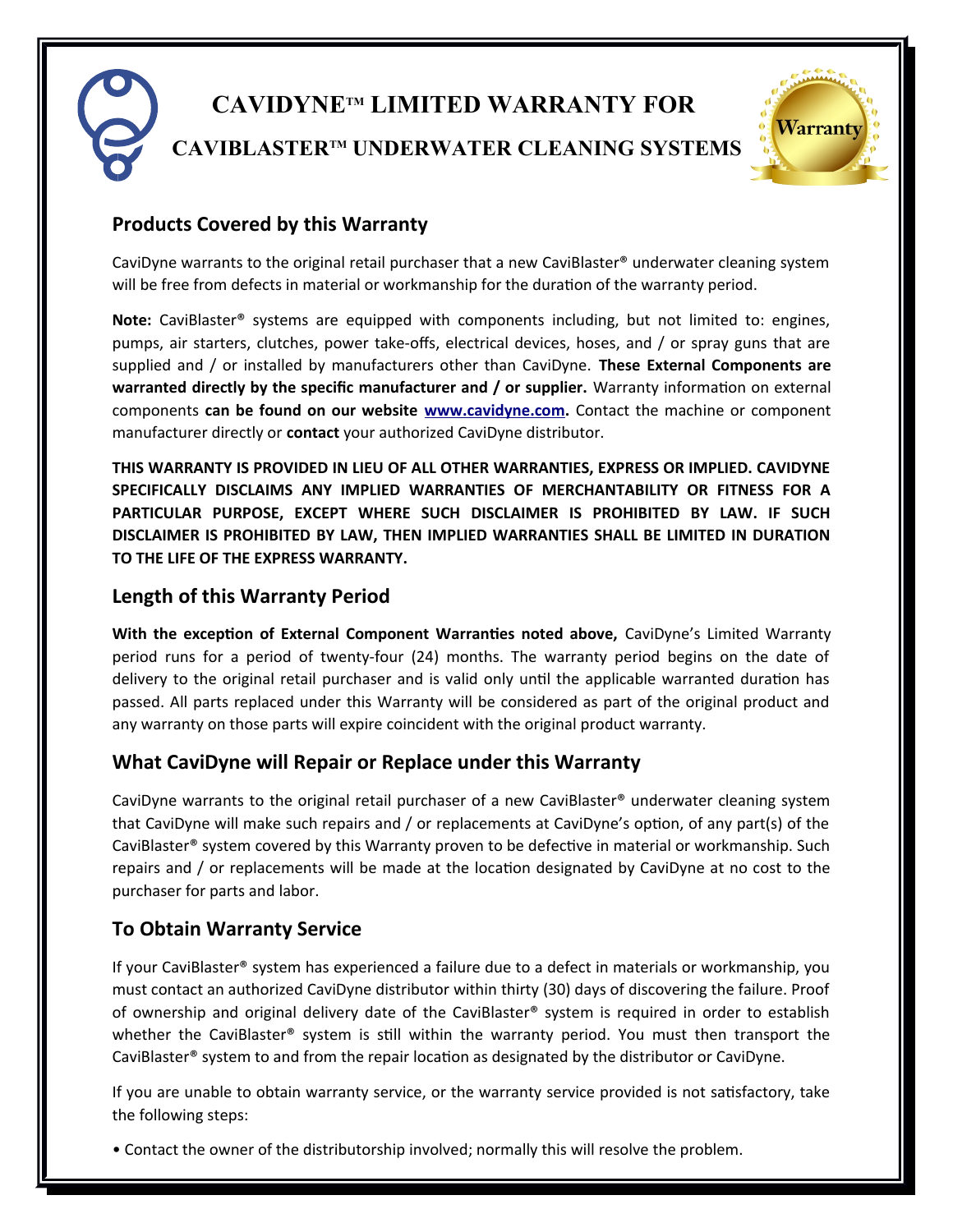# **CAVIDYNETM LIMITED WARRANTY FOR CAVIBLASTERTM UNDERWATER CLEANING SYSTEMS**



# **Products Covered by this Warranty**

CaviDyne warrants to the original retail purchaser that a new CaviBlaster® underwater cleaning system will be free from defects in material or workmanship for the duration of the warranty period.

**Note:** CaviBlaster® systems are equipped with components including, but not limited to: engines, pumps, air starters, clutches, power take-offs, electrical devices, hoses, and / or spray guns that are supplied and / or installed by manufacturers other than CaviDyne. **These External Components are** warranted directly by the specific manufacturer and / or supplier. Warranty information on external components **can be found on our website [www.cavidyne.com.](http://www.cavidyne.com/)** Contact the machine or component manufacturer directly or **contact** your authorized CaviDyne distributor.

**THIS WARRANTY IS PROVIDED IN LIEU OF ALL OTHER WARRANTIES, EXPRESS OR IMPLIED. CAVIDYNE SPECIFICALLY DISCLAIMS ANY IMPLIED WARRANTIES OF MERCHANTABILITY OR FITNESS FOR A PARTICULAR PURPOSE, EXCEPT WHERE SUCH DISCLAIMER IS PROHIBITED BY LAW. IF SUCH DISCLAIMER IS PROHIBITED BY LAW, THEN IMPLIED WARRANTIES SHALL BE LIMITED IN DURATION TO THE LIFE OF THE EXPRESS WARRANTY.**

# **Length of this Warranty Period**

**With the excepton of External Component Warrantes noted above,** CaviDyne's Limited Warranty period runs for a period of twenty-four (24) months. The warranty period begins on the date of delivery to the original retail purchaser and is valid only until the applicable warranted duration has passed. All parts replaced under this Warranty will be considered as part of the original product and any warranty on those parts will expire coincident with the original product warranty.

## **What CaviDyne will Repair or Replace under this Warranty**

CaviDyne warrants to the original retail purchaser of a new CaviBlaster® underwater cleaning system that CaviDyne will make such repairs and / or replacements at CaviDyne's opton, of any part(s) of the CaviBlaster® system covered by this Warranty proven to be defectve in material or workmanship. Such repairs and / or replacements will be made at the locaton designated by CaviDyne at no cost to the purchaser for parts and labor.

## **To Obtain Warranty Service**

If your CaviBlaster® system has experienced a failure due to a defect in materials or workmanship, you must contact an authorized CaviDyne distributor within thirty (30) days of discovering the failure. Proof of ownership and original delivery date of the CaviBlaster® system is required in order to establish whether the CaviBlaster® system is still within the warranty period. You must then transport the CaviBlaster® system to and from the repair locaton as designated by the distributor or CaviDyne.

If you are unable to obtain warranty service, or the warranty service provided is not satsfactory, take the following steps:

• Contact the owner of the distributorship involved; normally this will resolve the problem.